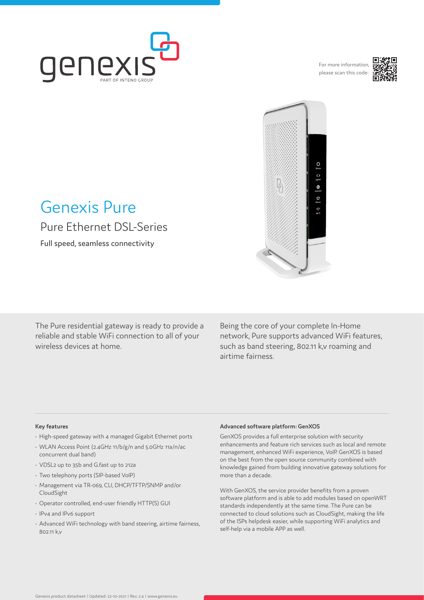

For more information, please scan this code:





# Genexis Pure Pure Ethernet DSL-Series

Full speed, seamless connectivity

The Pure residential gateway is ready to provide a reliable and stable WiFi connection to all of your wireless devices at home.

Being the core of your complete In-Home network, Pure supports advanced WiFi features, such as band steering, 802.11 k,v roaming and airtime fairness.

#### **Key features**

- High-speed gateway with 4 managed Gigabit Ethernet ports
- WLAN Access Point (2.4GHz 11/b/g/n and 5.0GHz 11a/n/ac concurrent dual band)
- VDSL2 up to 35b and G.fast up to 212a
- Two telephony ports (SIP-based VoIP)
- Management via TR-069, CLI, DHCP/TFTP/SNMP and/or CloudSight
- Operator controlled, end-user friendly HTTP(S) GUI
- IPv4 and IPv6 support
- Advanced WiFi technology with band steering, airtime fairness, 802.11 k,v

#### **Advanced software platform: GenXOS**

GenXOS provides a full enterprise solution with security enhancements and feature rich services such as local and remote management, enhanced WiFi experience, VoIP. GenXOS is based on the best from the open source community combined with knowledge gained from building innovative gateway solutions for more than a decade.

With GenXOS, the service provider benefits from a proven software platform and is able to add modules based on openWRT standards independently at the same time. The Pure can be connected to cloud solutions such as CloudSight, making the life of the ISPs helpdesk easier, while supporting WiFi analytics and self-help via a mobile APP as well.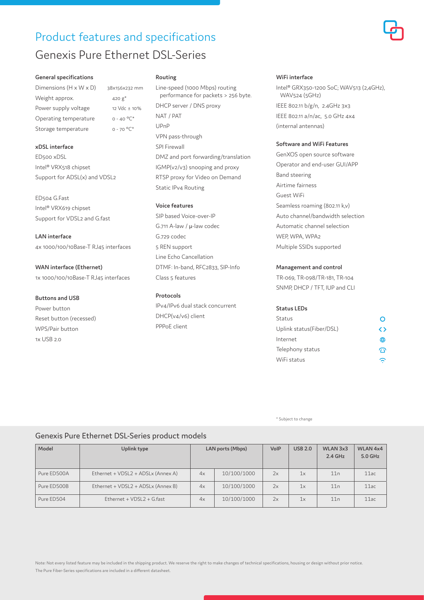## Product features and specifications Genexis Pure Ethernet DSL-Series

#### **General specifications**

Dimensions  $(H \times W \times D)$  38x156x232 mm Weight approx.  $420 g^*$ Power supply voltage 12 Vdc ± 10% Operating temperature  $0 - 40 °C^*$ Storage temperature  $0 - 70$  °C\*

#### **xDSL interface**

ED500 xDSL Intel® VRX518 chipset Support for ADSL(x) and VDSL2

ED504 G.Fast Intel® VRX619 chipset Support for VDSL2 and G.fast

**LAN interface** 4x 1000/100/10Base-T RJ45 interfaces

**WAN interface (Ethernet)** 1x 1000/100/10Base-T RJ45 interfaces

#### **Buttons and USB**

Power button Reset button (recessed) WPS/Pair button 1x USB 2.0

#### **Routing**

Line-speed (1000 Mbps) routing performance for packets > 256 byte. DHCP server / DNS proxy NAT / PAT UPnP VPN pass-through SPI Firewall DMZ and port forwarding/translation IGMP(v2/v3) snooping and proxy RTSP proxy for Video on Demand Static IPv4 Routing

#### **Voice features**

SIP based Voice-over-IP G.711 A-law / μ-law codec G.729 codec 5 REN support Line Echo Cancellation DTMF: In-band, RFC2833, SIP-Info Class 5 features

#### **Protocols**

IPv4/IPv6 dual stack concurrent DHCP(v4/v6) client PPPoE client

#### **WiFi interface**

Intel® GRX350-1200 SoC; WAV513 (2,4GHz), WAV524 (5GHz) IEEE 802.11 b/g/n, 2.4GHz 3x3 IEEE 802.11 a/n/ac, 5.0 GHz 4x4 (internal antennas)

#### **Software and WiFi Features**

GenXOS open source software Operator and end-user GUI/APP Band steering Airtime fairness Guest WiFi Seamless roaming (802.11 k,v) Auto channel/bandwidth selection Automatic channel selection WEP, WPA, WPA2 Multiple SSIDs supported

#### **Management and control**

TR-069, TR-098/TR-181, TR-104 SNMP, DHCP / TFT, IUP and CLI

#### **Status LEDs**

| Status                   |   |
|--------------------------|---|
| Uplink status(Fiber/DSL) | ◇ |
| Internet                 | ⊕ |
| Telephony status         |   |
| WiFi status              |   |

\* Subject to change

### Genexis Pure Ethernet DSL-Series product models

| Model       | Uplink type                        | LAN ports (Mbps) |             | VolP | <b>USB 2.0</b> | WLAN 3x3<br>$2.4$ GHz | WLAN 4x4<br>5.0 GHz |
|-------------|------------------------------------|------------------|-------------|------|----------------|-----------------------|---------------------|
| Pure ED500A | Ethernet + VDSL2 + ADSLx (Annex A) | 4x               | 10/100/1000 | 2x   | 1x             | 11n                   | 11ac                |
| Pure ED500B | Ethernet + VDSL2 + ADSLx (Annex B) | 4x               | 10/100/1000 | 2x   | 1x             | 11n                   | 11ac                |
| Pure ED504  | $Ethernet + VDSL2 + G.fast$        | 4x               | 10/100/1000 | 2x   | 1x             | 11n                   | 11ac                |